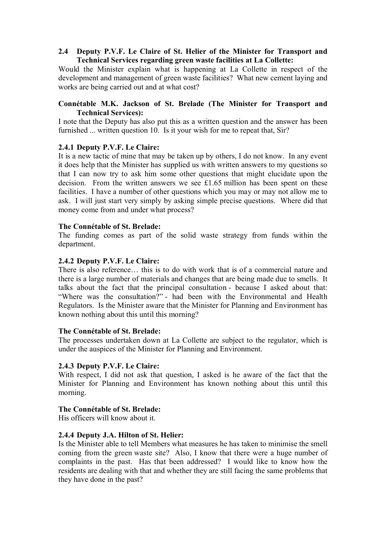# **2.4** � **Deputy P.V.F. Le Claire of St. Helier of the Minister for Transport and Technical Services regarding green waste facilities at La Collette:**

Would the Minister explain what is happening at La Collette in respect of the development and management of green waste facilities? What new cement laying and works are being carried out and at what cost?

# **Connétable M.K. Jackson of St. Brelade (The Minister for Transport and Technical Services):**

I note that the Deputy has also put this as a written question and the answer has been furnished ... written question 10. Is it your wish for me to repeat that, Sir?

# **2.4.1 Deputy P.V.F. Le Claire:**

It is a new tactic of mine that may be taken up by others, I do not know. In any event it does help that the Minister has supplied us with written answers to my questions so that I can now try to ask him some other questions that might elucidate upon the decision. From the written answers we see £1.65 million has been spent on these facilities. I have a number of other questions which you may or may not allow me to ask. I will just start very simply by asking simple precise questions. Where did that money come from and under what process?

## **The Connétable of St. Brelade:**

The funding comes as part of the solid waste strategy from funds within the department.

# **2.4.2 Deputy P.V.F. Le Claire:**

There is also reference… this is to do with work that is of a commercial nature and there is a large number of materials and changes that are being made due to smells. It talks about the fact that the principal consultation - because I asked about that: "Where was the consultation?" - had been with the Environmental and Health Regulators. Is the Minister aware that the Minister for Planning and Environment has known nothing about this until this morning?

## **The Connétable of St. Brelade:**

The processes undertaken down at La Collette are subject to the regulator, which is under the auspices of the Minister for Planning and Environment.

## **2.4.3 Deputy P.V.F. Le Claire:**

With respect, I did not ask that question, I asked is he aware of the fact that the Minister for Planning and Environment has known nothing about this until this morning.

# **The Connétable of St. Brelade:**

His officers will know about it.

## **2.4.4 Deputy J.A. Hilton of St. Helier:**

Is the Minister able to tell Members what measures he has taken to minimise the smell coming from the green waste site? Also, I know that there were a huge number of complaints in the past. Has that been addressed? I would like to know how the residents are dealing with that and whether they are still facing the same problems that they have done in the past?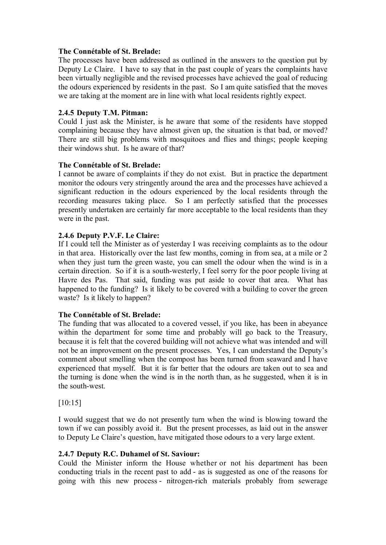# **The Connétable of St. Brelade:**

The processes have been addressed as outlined in the answers to the question put by Deputy Le Claire. I have to say that in the past couple of years the complaints have been virtually negligible and the revised processes have achieved the goal of reducing the odours experienced by residents in the past. So I am quite satisfied that the moves we are taking at the moment are in line with what local residents rightly expect.

# **2.4.5 Deputy T.M. Pitman:**

Could I just ask the Minister, is he aware that some of the residents have stopped complaining because they have almost given up, the situation is that bad, or moved? There are still big problems with mosquitoes and flies and things; people keeping their windows shut. Is he aware of that?

# **The Connétable of St. Brelade:**

I cannot be aware of complaints if they do not exist. But in practice the department monitor the odours very stringently around the area and the processes have achieved a significant reduction in the odours experienced by the local residents through the recording measures taking place. So I am perfectly satisfied that the processes presently undertaken are certainly far more acceptable to the local residents than they were in the past.

# **2.4.6 Deputy P.V.F. Le Claire:**

If I could tell the Minister as of yesterday I was receiving complaints as to the odour in that area. Historically over the last few months, coming in from sea, at a mile or 2 when they just turn the green waste, you can smell the odour when the wind is in a certain direction. So if it is a south-westerly, I feel sorry for the poor people living at Havre des Pas. That said, funding was put aside to cover that area. What has happened to the funding? Is it likely to be covered with a building to cover the green waste? Is it likely to happen?

## **The Connétable of St. Brelade:**

The funding that was allocated to a covered vessel, if you like, has been in abeyance within the department for some time and probably will go back to the Treasury, because it is felt that the covered building will not achieve what was intended and will not be an improvement on the present processes. Yes, I can understand the Deputy's comment about smelling when the compost has been turned from seaward and I have experienced that myself. But it is far better that the odours are taken out to sea and the turning is done when the wind is in the north than, as he suggested, when it is in the south-west.

[10:15]

I would suggest that we do not presently turn when the wind is blowing toward the town if we can possibly avoid it. But the present processes, as laid out in the answer to Deputy Le Claire's question, have mitigated those odours to a very large extent.

## **2.4.7 Deputy R.C. Duhamel of St. Saviour:**

Could the Minister inform the House whether or not his department has been conducting trials in the recent past to add - as is suggested as one of the reasons for going with this new process - nitrogen-rich materials probably from sewerage